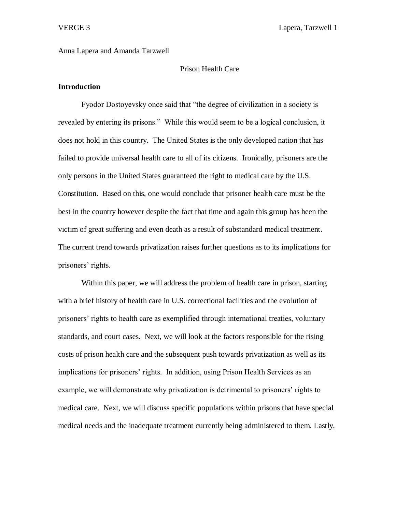**VERGE 3** Lapera, Tarzwell 1

## Anna Lapera and Amanda Tarzwell

# Prison Health Care

# **Introduction**

Fyodor Dostoyevsky once said that "the degree of civilization in a society is revealed by entering its prisons." While this would seem to be a logical conclusion, it does not hold in this country. The United States is the only developed nation that has failed to provide universal health care to all of its citizens. Ironically, prisoners are the only persons in the United States guaranteed the right to medical care by the U.S. Constitution. Based on this, one would conclude that prisoner health care must be the best in the country however despite the fact that time and again this group has been the victim of great suffering and even death as a result of substandard medical treatment. The current trend towards privatization raises further questions as to its implications for prisoners' rights.

Within this paper, we will address the problem of health care in prison, starting with a brief history of health care in U.S. correctional facilities and the evolution of prisoners' rights to health care as exemplified through international treaties, voluntary standards, and court cases. Next, we will look at the factors responsible for the rising costs of prison health care and the subsequent push towards privatization as well as its implications for prisoners' rights. In addition, using Prison Health Services as an example, we will demonstrate why privatization is detrimental to prisoners' rights to medical care. Next, we will discuss specific populations within prisons that have special medical needs and the inadequate treatment currently being administered to them. Lastly,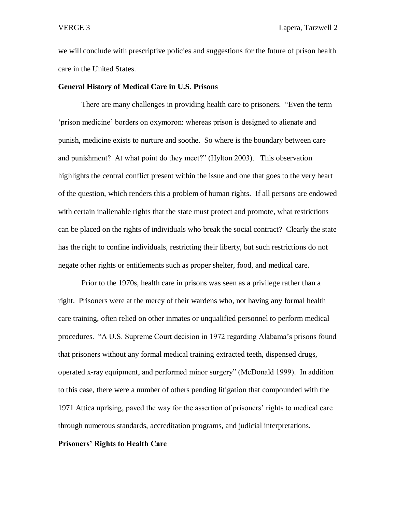we will conclude with prescriptive policies and suggestions for the future of prison health care in the United States.

### **General History of Medical Care in U.S. Prisons**

There are many challenges in providing health care to prisoners. "Even the term 'prison medicine' borders on oxymoron: whereas prison is designed to alienate and punish, medicine exists to nurture and soothe. So where is the boundary between care and punishment? At what point do they meet?" (Hylton 2003). This observation highlights the central conflict present within the issue and one that goes to the very heart of the question, which renders this a problem of human rights. If all persons are endowed with certain inalienable rights that the state must protect and promote, what restrictions can be placed on the rights of individuals who break the social contract? Clearly the state has the right to confine individuals, restricting their liberty, but such restrictions do not negate other rights or entitlements such as proper shelter, food, and medical care.

Prior to the 1970s, health care in prisons was seen as a privilege rather than a right. Prisoners were at the mercy of their wardens who, not having any formal health care training, often relied on other inmates or unqualified personnel to perform medical procedures. "A U.S. Supreme Court decision in 1972 regarding Alabama's prisons found that prisoners without any formal medical training extracted teeth, dispensed drugs, operated x-ray equipment, and performed minor surgery" (McDonald 1999). In addition to this case, there were a number of others pending litigation that compounded with the 1971 Attica uprising, paved the way for the assertion of prisoners' rights to medical care through numerous standards, accreditation programs, and judicial interpretations.

### **Prisoners' Rights to Health Care**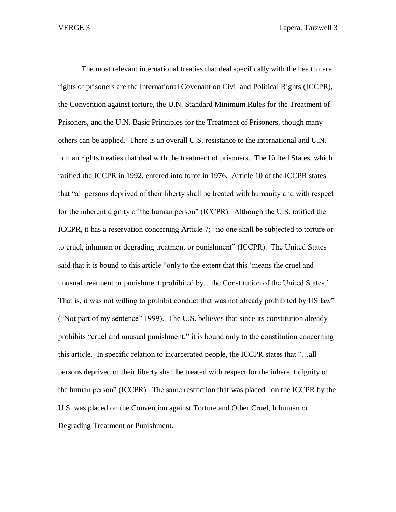The most relevant international treaties that deal specifically with the health care rights of prisoners are the International Covenant on Civil and Political Rights (ICCPR), the Convention against torture, the U.N. Standard Minimum Rules for the Treatment of Prisoners, and the U.N. Basic Principles for the Treatment of Prisoners, though many others can be applied. There is an overall U.S. resistance to the international and U.N. human rights treaties that deal with the treatment of prisoners. The United States, which ratified the ICCPR in 1992, entered into force in 1976. Article 10 of the ICCPR states that "all persons deprived of their liberty shall be treated with humanity and with respect for the inherent dignity of the human person" (ICCPR). Although the U.S. ratified the ICCPR, it has a reservation concerning Article 7; "no one shall be subjected to torture or to cruel, inhuman or degrading treatment or punishment" (ICCPR). The United States said that it is bound to this article "only to the extent that this 'means the cruel and unusual treatment or punishment prohibited by…the Constitution of the United States.' That is, it was not willing to prohibit conduct that was not already prohibited by US law" ("Not part of my sentence" 1999). The U.S. believes that since its constitution already prohibits "cruel and unusual punishment," it is bound only to the constitution concerning this article. In specific relation to incarcerated people, the ICCPR states that "…all persons deprived of their liberty shall be treated with respect for the inherent dignity of the human person" (ICCPR). The same restriction that was placed . on the ICCPR by the U.S. was placed on the Convention against Torture and Other Cruel, Inhuman or Degrading Treatment or Punishment.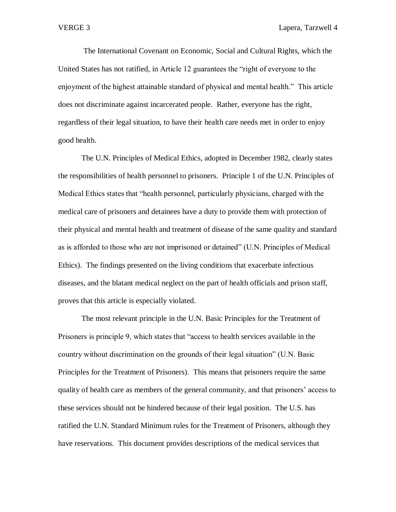The International Covenant on Economic, Social and Cultural Rights, which the United States has not ratified, in Article 12 guarantees the "right of everyone to the enjoyment of the highest attainable standard of physical and mental health." This article does not discriminate against incarcerated people. Rather, everyone has the right, regardless of their legal situation, to have their health care needs met in order to enjoy good health.

The U.N. Principles of Medical Ethics, adopted in December 1982, clearly states the responsibilities of health personnel to prisoners. Principle 1 of the U.N. Principles of Medical Ethics states that "health personnel, particularly physicians, charged with the medical care of prisoners and detainees have a duty to provide them with protection of their physical and mental health and treatment of disease of the same quality and standard as is afforded to those who are not imprisoned or detained" (U.N. Principles of Medical Ethics). The findings presented on the living conditions that exacerbate infectious diseases, and the blatant medical neglect on the part of health officials and prison staff, proves that this article is especially violated.

The most relevant principle in the U.N. Basic Principles for the Treatment of Prisoners is principle 9, which states that "access to health services available in the country without discrimination on the grounds of their legal situation" (U.N. Basic Principles for the Treatment of Prisoners). This means that prisoners require the same quality of health care as members of the general community, and that prisoners' access to these services should not be hindered because of their legal position. The U.S. has ratified the U.N. Standard Minimum rules for the Treatment of Prisoners, although they have reservations. This document provides descriptions of the medical services that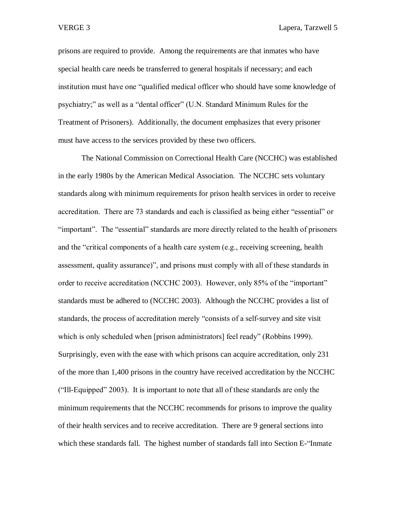prisons are required to provide. Among the requirements are that inmates who have special health care needs be transferred to general hospitals if necessary; and each institution must have one "qualified medical officer who should have some knowledge of psychiatry;" as well as a "dental officer" (U.N. Standard Minimum Rules for the Treatment of Prisoners). Additionally, the document emphasizes that every prisoner must have access to the services provided by these two officers.

The National Commission on Correctional Health Care (NCCHC) was established in the early 1980s by the American Medical Association. The NCCHC sets voluntary standards along with minimum requirements for prison health services in order to receive accreditation. There are 73 standards and each is classified as being either "essential" or "important". The "essential" standards are more directly related to the health of prisoners and the "critical components of a health care system (e.g., receiving screening, health assessment, quality assurance)", and prisons must comply with all of these standards in order to receive accreditation (NCCHC 2003). However, only 85% of the "important" standards must be adhered to (NCCHC 2003). Although the NCCHC provides a list of standards, the process of accreditation merely "consists of a self-survey and site visit which is only scheduled when [prison administrators] feel ready" (Robbins 1999). Surprisingly, even with the ease with which prisons can acquire accreditation, only 231 of the more than 1,400 prisons in the country have received accreditation by the NCCHC ("Ill-Equipped" 2003). It is important to note that all of these standards are only the minimum requirements that the NCCHC recommends for prisons to improve the quality of their health services and to receive accreditation. There are 9 general sections into which these standards fall. The highest number of standards fall into Section E-"Inmate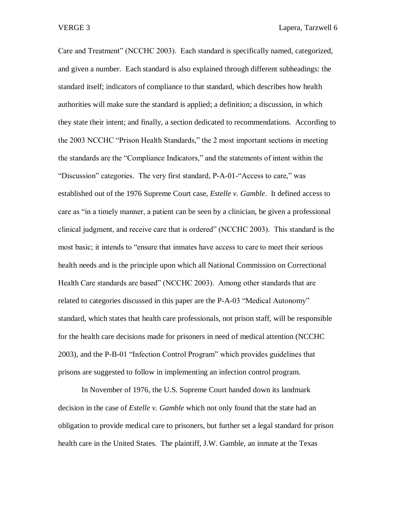Care and Treatment" (NCCHC 2003). Each standard is specifically named, categorized, and given a number. Each standard is also explained through different subheadings: the standard itself; indicators of compliance to that standard, which describes how health authorities will make sure the standard is applied; a definition; a discussion, in which they state their intent; and finally, a section dedicated to recommendations. According to the 2003 NCCHC "Prison Health Standards," the 2 most important sections in meeting the standards are the "Compliance Indicators," and the statements of intent within the "Discussion" categories. The very first standard, P-A-01-"Access to care," was established out of the 1976 Supreme Court case, *Estelle v. Gamble*. It defined access to care as "in a timely manner, a patient can be seen by a clinician, be given a professional clinical judgment, and receive care that is ordered" (NCCHC 2003). This standard is the most basic; it intends to "ensure that inmates have access to care to meet their serious health needs and is the principle upon which all National Commission on Correctional Health Care standards are based" (NCCHC 2003). Among other standards that are related to categories discussed in this paper are the P-A-03 "Medical Autonomy" standard, which states that health care professionals, not prison staff, will be responsible for the health care decisions made for prisoners in need of medical attention (NCCHC 2003), and the P-B-01 "Infection Control Program" which provides guidelines that prisons are suggested to follow in implementing an infection control program.

In November of 1976, the U.S. Supreme Court handed down its landmark decision in the case of *Estelle v. Gamble* which not only found that the state had an obligation to provide medical care to prisoners, but further set a legal standard for prison health care in the United States. The plaintiff, J.W. Gamble, an inmate at the Texas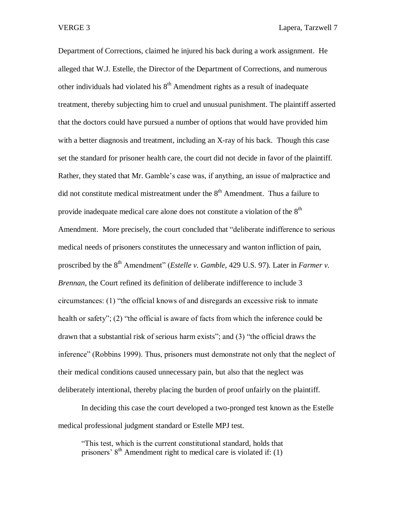Department of Corrections, claimed he injured his back during a work assignment. He alleged that W.J. Estelle, the Director of the Department of Corrections, and numerous other individuals had violated his  $8<sup>th</sup>$  Amendment rights as a result of inadequate treatment, thereby subjecting him to cruel and unusual punishment. The plaintiff asserted that the doctors could have pursued a number of options that would have provided him with a better diagnosis and treatment, including an X-ray of his back. Though this case set the standard for prisoner health care, the court did not decide in favor of the plaintiff. Rather, they stated that Mr. Gamble's case was, if anything, an issue of malpractice and did not constitute medical mistreatment under the  $8<sup>th</sup>$  Amendment. Thus a failure to provide inadequate medical care alone does not constitute a violation of the  $8<sup>th</sup>$ Amendment. More precisely, the court concluded that "deliberate indifference to serious medical needs of prisoners constitutes the unnecessary and wanton infliction of pain, proscribed by the 8<sup>th</sup> Amendment" (*Estelle v. Gamble*, 429 U.S. 97). Later in *Farmer v. Brennan*, the Court refined its definition of deliberate indifference to include 3 circumstances: (1) "the official knows of and disregards an excessive risk to inmate health or safety"; (2) "the official is aware of facts from which the inference could be drawn that a substantial risk of serious harm exists"; and (3) "the official draws the inference" (Robbins 1999). Thus, prisoners must demonstrate not only that the neglect of their medical conditions caused unnecessary pain, but also that the neglect was deliberately intentional, thereby placing the burden of proof unfairly on the plaintiff.

In deciding this case the court developed a two-pronged test known as the Estelle medical professional judgment standard or Estelle MPJ test.

"This test, which is the current constitutional standard, holds that prisoners'  $8<sup>th</sup>$  Amendment right to medical care is violated if: (1)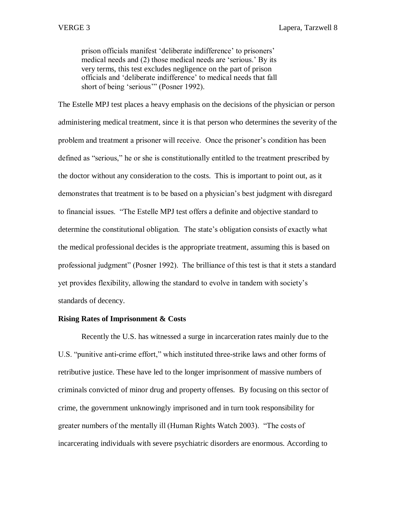prison officials manifest 'deliberate indifference' to prisoners' medical needs and (2) those medical needs are 'serious.' By its very terms, this test excludes negligence on the part of prison officials and 'deliberate indifference' to medical needs that fall short of being 'serious'" (Posner 1992).

The Estelle MPJ test places a heavy emphasis on the decisions of the physician or person administering medical treatment, since it is that person who determines the severity of the problem and treatment a prisoner will receive. Once the prisoner's condition has been defined as "serious," he or she is constitutionally entitled to the treatment prescribed by the doctor without any consideration to the costs. This is important to point out, as it demonstrates that treatment is to be based on a physician's best judgment with disregard to financial issues. "The Estelle MPJ test offers a definite and objective standard to determine the constitutional obligation. The state's obligation consists of exactly what the medical professional decides is the appropriate treatment, assuming this is based on professional judgment" (Posner 1992). The brilliance of this test is that it stets a standard yet provides flexibility, allowing the standard to evolve in tandem with society's standards of decency.

## **Rising Rates of Imprisonment & Costs**

Recently the U.S. has witnessed a surge in incarceration rates mainly due to the U.S. "punitive anti-crime effort," which instituted three-strike laws and other forms of retributive justice. These have led to the longer imprisonment of massive numbers of criminals convicted of minor drug and property offenses. By focusing on this sector of crime, the government unknowingly imprisoned and in turn took responsibility for greater numbers of the mentally ill (Human Rights Watch 2003). "The costs of incarcerating individuals with severe psychiatric disorders are enormous. According to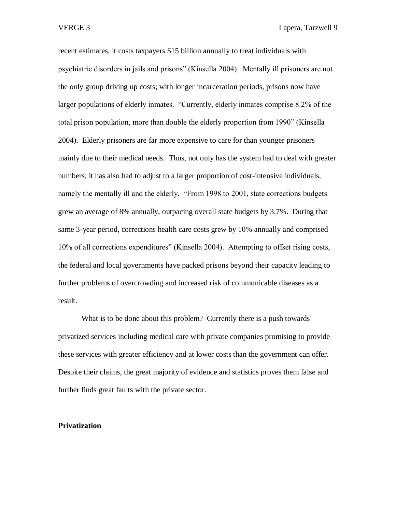VERGE 3 Lapera, Tarzwell 9

recent estimates, it costs taxpayers \$15 billion annually to treat individuals with psychiatric disorders in jails and prisons" (Kinsella 2004). Mentally ill prisoners are not the only group driving up costs; with longer incarceration periods, prisons now have larger populations of elderly inmates. "Currently, elderly inmates comprise 8.2% of the total prison population, more than double the elderly proportion from 1990" (Kinsella 2004). Elderly prisoners are far more expensive to care for than younger prisoners mainly due to their medical needs. Thus, not only has the system had to deal with greater numbers, it has also had to adjust to a larger proportion of cost-intensive individuals, namely the mentally ill and the elderly. "From 1998 to 2001, state corrections budgets grew an average of 8% annually, outpacing overall state budgets by 3.7%. During that same 3-year period, corrections health care costs grew by 10% annually and comprised 10% of all corrections expenditures" (Kinsella 2004). Attempting to offset rising costs, the federal and local governments have packed prisons beyond their capacity leading to further problems of overcrowding and increased risk of communicable diseases as a result.

What is to be done about this problem? Currently there is a push towards privatized services including medical care with private companies promising to provide these services with greater efficiency and at lower costs than the government can offer. Despite their claims, the great majority of evidence and statistics proves them false and further finds great faults with the private sector.

#### **Privatization**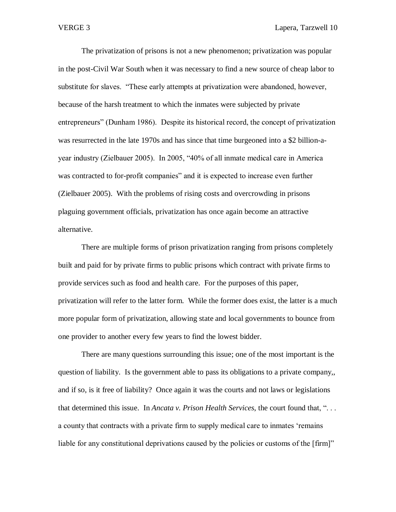The privatization of prisons is not a new phenomenon; privatization was popular in the post-Civil War South when it was necessary to find a new source of cheap labor to substitute for slaves. "These early attempts at privatization were abandoned, however, because of the harsh treatment to which the inmates were subjected by private entrepreneurs" (Dunham 1986). Despite its historical record, the concept of privatization was resurrected in the late 1970s and has since that time burgeoned into a \$2 billion-ayear industry (Zielbauer 2005). In 2005, "40% of all inmate medical care in America was contracted to for-profit companies" and it is expected to increase even further (Zielbauer 2005). With the problems of rising costs and overcrowding in prisons plaguing government officials, privatization has once again become an attractive alternative.

There are multiple forms of prison privatization ranging from prisons completely built and paid for by private firms to public prisons which contract with private firms to provide services such as food and health care. For the purposes of this paper, privatization will refer to the latter form. While the former does exist, the latter is a much more popular form of privatization, allowing state and local governments to bounce from one provider to another every few years to find the lowest bidder.

There are many questions surrounding this issue; one of the most important is the question of liability. Is the government able to pass its obligations to a private company,, and if so, is it free of liability? Once again it was the courts and not laws or legislations that determined this issue. In *Ancata v. Prison Health Services*, the court found that, ". . . a county that contracts with a private firm to supply medical care to inmates 'remains liable for any constitutional deprivations caused by the policies or customs of the [firm]"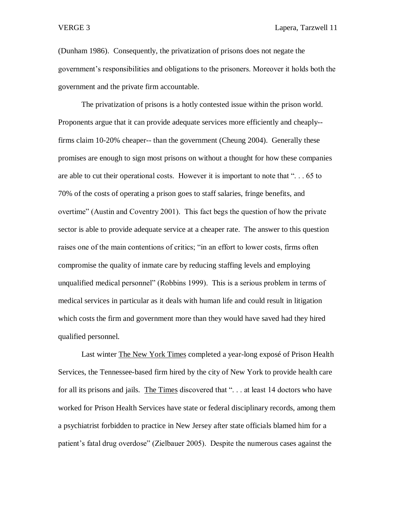(Dunham 1986). Consequently, the privatization of prisons does not negate the government's responsibilities and obligations to the prisoners. Moreover it holds both the government and the private firm accountable.

The privatization of prisons is a hotly contested issue within the prison world. Proponents argue that it can provide adequate services more efficiently and cheaply- firms claim 10-20% cheaper-- than the government (Cheung 2004). Generally these promises are enough to sign most prisons on without a thought for how these companies are able to cut their operational costs. However it is important to note that ". . . 65 to 70% of the costs of operating a prison goes to staff salaries, fringe benefits, and overtime" (Austin and Coventry 2001). This fact begs the question of how the private sector is able to provide adequate service at a cheaper rate. The answer to this question raises one of the main contentions of critics; "in an effort to lower costs, firms often compromise the quality of inmate care by reducing staffing levels and employing unqualified medical personnel" (Robbins 1999). This is a serious problem in terms of medical services in particular as it deals with human life and could result in litigation which costs the firm and government more than they would have saved had they hired qualified personnel.

Last winter The New York Times completed a year-long exposé of Prison Health Services, the Tennessee-based firm hired by the city of New York to provide health care for all its prisons and jails. The Times discovered that "... at least 14 doctors who have worked for Prison Health Services have state or federal disciplinary records, among them a psychiatrist forbidden to practice in New Jersey after state officials blamed him for a patient's fatal drug overdose" (Zielbauer 2005). Despite the numerous cases against the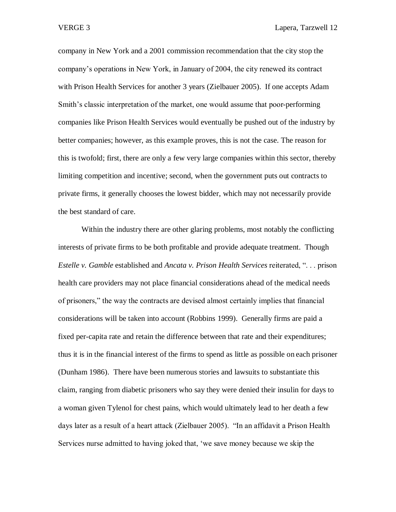company in New York and a 2001 commission recommendation that the city stop the company's operations in New York, in January of 2004, the city renewed its contract with Prison Health Services for another 3 years (Zielbauer 2005). If one accepts Adam Smith's classic interpretation of the market, one would assume that poor-performing companies like Prison Health Services would eventually be pushed out of the industry by better companies; however, as this example proves, this is not the case. The reason for this is twofold; first, there are only a few very large companies within this sector, thereby limiting competition and incentive; second, when the government puts out contracts to private firms, it generally chooses the lowest bidder, which may not necessarily provide the best standard of care.

Within the industry there are other glaring problems, most notably the conflicting interests of private firms to be both profitable and provide adequate treatment. Though *Estelle v. Gamble* established and *Ancata v. Prison Health Services* reiterated, ". . . prison health care providers may not place financial considerations ahead of the medical needs of prisoners," the way the contracts are devised almost certainly implies that financial considerations will be taken into account (Robbins 1999). Generally firms are paid a fixed per-capita rate and retain the difference between that rate and their expenditures; thus it is in the financial interest of the firms to spend as little as possible on each prisoner (Dunham 1986). There have been numerous stories and lawsuits to substantiate this claim, ranging from diabetic prisoners who say they were denied their insulin for days to a woman given Tylenol for chest pains, which would ultimately lead to her death a few days later as a result of a heart attack (Zielbauer 2005). "In an affidavit a Prison Health Services nurse admitted to having joked that, 'we save money because we skip the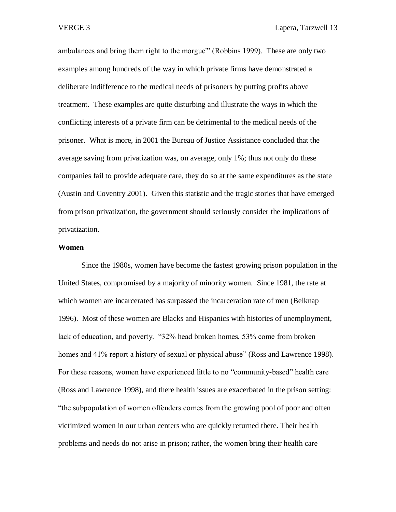ambulances and bring them right to the morgue'" (Robbins 1999). These are only two examples among hundreds of the way in which private firms have demonstrated a deliberate indifference to the medical needs of prisoners by putting profits above treatment. These examples are quite disturbing and illustrate the ways in which the conflicting interests of a private firm can be detrimental to the medical needs of the prisoner. What is more, in 2001 the Bureau of Justice Assistance concluded that the average saving from privatization was, on average, only 1%; thus not only do these companies fail to provide adequate care, they do so at the same expenditures as the state (Austin and Coventry 2001). Given this statistic and the tragic stories that have emerged from prison privatization, the government should seriously consider the implications of privatization.

### **Women**

Since the 1980s, women have become the fastest growing prison population in the United States, compromised by a majority of minority women. Since 1981, the rate at which women are incarcerated has surpassed the incarceration rate of men (Belknap 1996). Most of these women are Blacks and Hispanics with histories of unemployment, lack of education, and poverty. "32% head broken homes, 53% come from broken homes and 41% report a history of sexual or physical abuse" (Ross and Lawrence 1998). For these reasons, women have experienced little to no "community-based" health care (Ross and Lawrence 1998), and there health issues are exacerbated in the prison setting: "the subpopulation of women offenders comes from the growing pool of poor and often victimized women in our urban centers who are quickly returned there. Their health problems and needs do not arise in prison; rather, the women bring their health care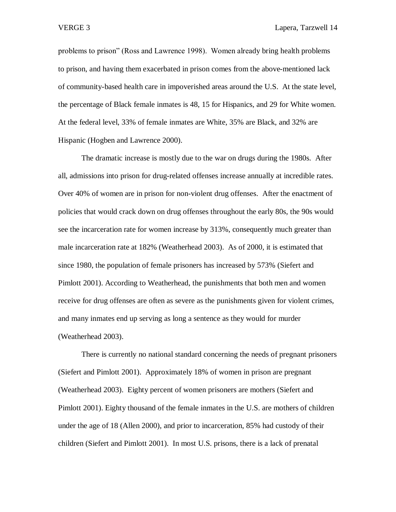problems to prison" (Ross and Lawrence 1998). Women already bring health problems to prison, and having them exacerbated in prison comes from the above-mentioned lack of community-based health care in impoverished areas around the U.S. At the state level, the percentage of Black female inmates is 48, 15 for Hispanics, and 29 for White women. At the federal level, 33% of female inmates are White, 35% are Black, and 32% are Hispanic (Hogben and Lawrence 2000).

The dramatic increase is mostly due to the war on drugs during the 1980s. After all, admissions into prison for drug-related offenses increase annually at incredible rates. Over 40% of women are in prison for non-violent drug offenses. After the enactment of policies that would crack down on drug offenses throughout the early 80s, the 90s would see the incarceration rate for women increase by 313%, consequently much greater than male incarceration rate at 182% (Weatherhead 2003). As of 2000, it is estimated that since 1980, the population of female prisoners has increased by 573% (Siefert and Pimlott 2001). According to Weatherhead, the punishments that both men and women receive for drug offenses are often as severe as the punishments given for violent crimes, and many inmates end up serving as long a sentence as they would for murder (Weatherhead 2003).

There is currently no national standard concerning the needs of pregnant prisoners (Siefert and Pimlott 2001). Approximately 18% of women in prison are pregnant (Weatherhead 2003). Eighty percent of women prisoners are mothers (Siefert and Pimlott 2001). Eighty thousand of the female inmates in the U.S. are mothers of children under the age of 18 (Allen 2000), and prior to incarceration, 85% had custody of their children (Siefert and Pimlott 2001). In most U.S. prisons, there is a lack of prenatal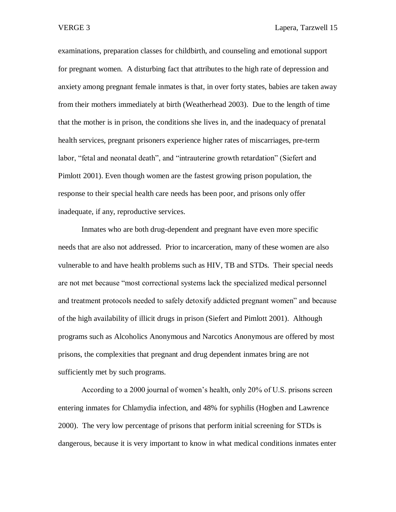examinations, preparation classes for childbirth, and counseling and emotional support for pregnant women. A disturbing fact that attributes to the high rate of depression and anxiety among pregnant female inmates is that, in over forty states, babies are taken away from their mothers immediately at birth (Weatherhead 2003). Due to the length of time that the mother is in prison, the conditions she lives in, and the inadequacy of prenatal health services, pregnant prisoners experience higher rates of miscarriages, pre-term labor, "fetal and neonatal death", and "intrauterine growth retardation" (Siefert and Pimlott 2001). Even though women are the fastest growing prison population, the response to their special health care needs has been poor, and prisons only offer inadequate, if any, reproductive services.

Inmates who are both drug-dependent and pregnant have even more specific needs that are also not addressed. Prior to incarceration, many of these women are also vulnerable to and have health problems such as HIV, TB and STDs. Their special needs are not met because "most correctional systems lack the specialized medical personnel and treatment protocols needed to safely detoxify addicted pregnant women" and because of the high availability of illicit drugs in prison (Siefert and Pimlott 2001). Although programs such as Alcoholics Anonymous and Narcotics Anonymous are offered by most prisons, the complexities that pregnant and drug dependent inmates bring are not sufficiently met by such programs.

According to a 2000 journal of women's health, only 20% of U.S. prisons screen entering inmates for Chlamydia infection, and 48% for syphilis (Hogben and Lawrence 2000). The very low percentage of prisons that perform initial screening for STDs is dangerous, because it is very important to know in what medical conditions inmates enter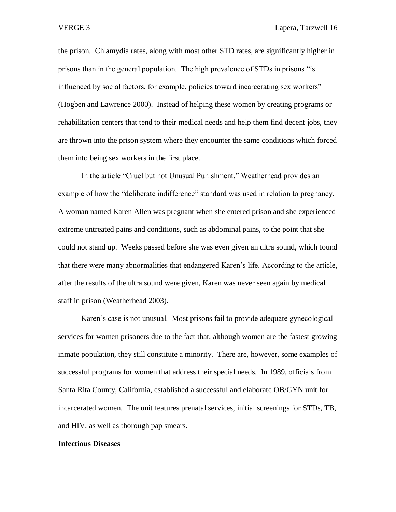the prison. Chlamydia rates, along with most other STD rates, are significantly higher in prisons than in the general population. The high prevalence of STDs in prisons "is influenced by social factors, for example, policies toward incarcerating sex workers" (Hogben and Lawrence 2000). Instead of helping these women by creating programs or rehabilitation centers that tend to their medical needs and help them find decent jobs, they are thrown into the prison system where they encounter the same conditions which forced them into being sex workers in the first place.

In the article "Cruel but not Unusual Punishment," Weatherhead provides an example of how the "deliberate indifference" standard was used in relation to pregnancy. A woman named Karen Allen was pregnant when she entered prison and she experienced extreme untreated pains and conditions, such as abdominal pains, to the point that she could not stand up. Weeks passed before she was even given an ultra sound, which found that there were many abnormalities that endangered Karen's life. According to the article, after the results of the ultra sound were given, Karen was never seen again by medical staff in prison (Weatherhead 2003).

Karen's case is not unusual. Most prisons fail to provide adequate gynecological services for women prisoners due to the fact that, although women are the fastest growing inmate population, they still constitute a minority. There are, however, some examples of successful programs for women that address their special needs. In 1989, officials from Santa Rita County, California, established a successful and elaborate OB/GYN unit for incarcerated women. The unit features prenatal services, initial screenings for STDs, TB, and HIV, as well as thorough pap smears.

#### **Infectious Diseases**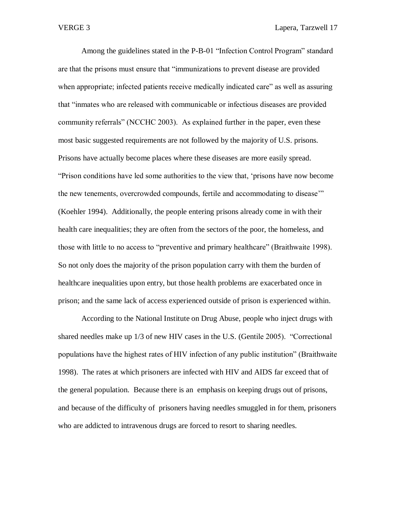Among the guidelines stated in the P-B-01 "Infection Control Program" standard are that the prisons must ensure that "immunizations to prevent disease are provided when appropriate; infected patients receive medically indicated care" as well as assuring that "inmates who are released with communicable or infectious diseases are provided community referrals" (NCCHC 2003). As explained further in the paper, even these most basic suggested requirements are not followed by the majority of U.S. prisons. Prisons have actually become places where these diseases are more easily spread. "Prison conditions have led some authorities to the view that, 'prisons have now become the new tenements, overcrowded compounds, fertile and accommodating to disease'" (Koehler 1994). Additionally, the people entering prisons already come in with their health care inequalities; they are often from the sectors of the poor, the homeless, and those with little to no access to "preventive and primary healthcare" (Braithwaite 1998). So not only does the majority of the prison population carry with them the burden of healthcare inequalities upon entry, but those health problems are exacerbated once in prison; and the same lack of access experienced outside of prison is experienced within.

According to the National Institute on Drug Abuse, people who inject drugs with shared needles make up 1/3 of new HIV cases in the U.S. (Gentile 2005). "Correctional populations have the highest rates of HIV infection of any public institution" (Braithwaite 1998). The rates at which prisoners are infected with HIV and AIDS far exceed that of the general population. Because there is an emphasis on keeping drugs out of prisons, and because of the difficulty of prisoners having needles smuggled in for them, prisoners who are addicted to intravenous drugs are forced to resort to sharing needles.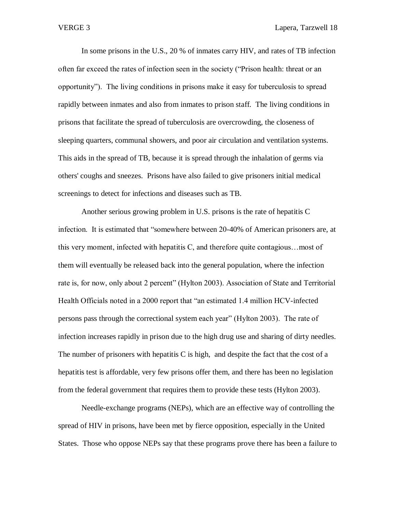In some prisons in the U.S., 20 % of inmates carry HIV, and rates of TB infection often far exceed the rates of infection seen in the society ("Prison health: threat or an opportunity"). The living conditions in prisons make it easy for tuberculosis to spread rapidly between inmates and also from inmates to prison staff. The living conditions in prisons that facilitate the spread of tuberculosis are overcrowding, the closeness of sleeping quarters, communal showers, and poor air circulation and ventilation systems. This aids in the spread of TB, because it is spread through the inhalation of germs via others' coughs and sneezes. Prisons have also failed to give prisoners initial medical screenings to detect for infections and diseases such as TB.

Another serious growing problem in U.S. prisons is the rate of hepatitis C infection. It is estimated that "somewhere between 20-40% of American prisoners are, at this very moment, infected with hepatitis C, and therefore quite contagious…most of them will eventually be released back into the general population, where the infection rate is, for now, only about 2 percent" (Hylton 2003). Association of State and Territorial Health Officials noted in a 2000 report that "an estimated 1.4 million HCV-infected persons pass through the correctional system each year" (Hylton 2003). The rate of infection increases rapidly in prison due to the high drug use and sharing of dirty needles. The number of prisoners with hepatitis C is high, and despite the fact that the cost of a hepatitis test is affordable, very few prisons offer them, and there has been no legislation from the federal government that requires them to provide these tests (Hylton 2003).

Needle-exchange programs (NEPs), which are an effective way of controlling the spread of HIV in prisons, have been met by fierce opposition, especially in the United States. Those who oppose NEPs say that these programs prove there has been a failure to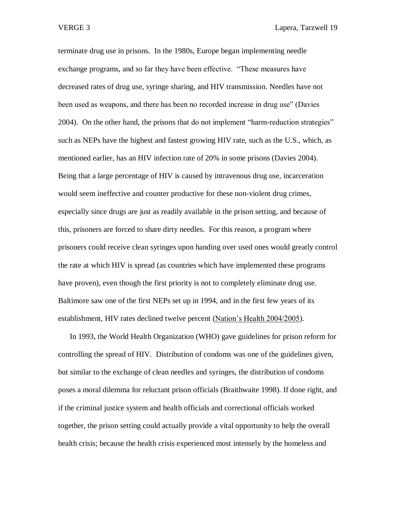terminate drug use in prisons. In the 1980s, Europe began implementing needle exchange programs, and so far they have been effective. "These measures have decreased rates of drug use, syringe sharing, and HIV transmission. Needles have not been used as weapons, and there has been no recorded increase in drug use" (Davies 2004). On the other hand, the prisons that do not implement "harm-reduction strategies" such as NEPs have the highest and fastest growing HIV rate, such as the U.S., which, as mentioned earlier, has an HIV infection rate of 20% in some prisons (Davies 2004). Being that a large percentage of HIV is caused by intravenous drug use, incarceration would seem ineffective and counter productive for these non-violent drug crimes, especially since drugs are just as readily available in the prison setting, and because of this, prisoners are forced to share dirty needles. For this reason, a program where prisoners could receive clean syringes upon handing over used ones would greatly control the rate at which HIV is spread (as countries which have implemented these programs have proven), even though the first priority is not to completely eliminate drug use. Baltimore saw one of the first NEPs set up in 1994, and in the first few years of its establishment, HIV rates declined twelve percent (Nation's Health 2004/2005).

In 1993, the World Health Organization (WHO) gave guidelines for prison reform for controlling the spread of HIV. Distribution of condoms was one of the guidelines given, but similar to the exchange of clean needles and syringes, the distribution of condoms poses a moral dilemma for reluctant prison officials (Braithwaite 1998). If done right, and if the criminal justice system and health officials and correctional officials worked together, the prison setting could actually provide a vital opportunity to help the overall health crisis; because the health crisis experienced most intensely by the homeless and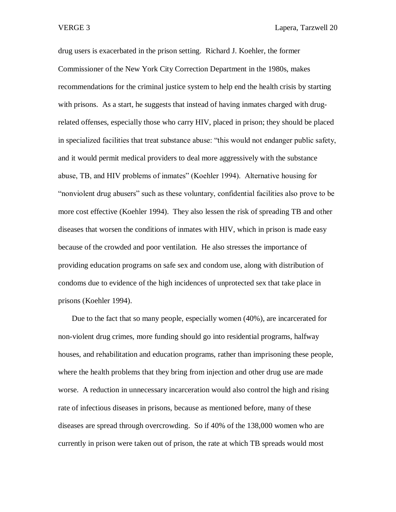VERGE 3 Lapera, Tarzwell 20

drug users is exacerbated in the prison setting. Richard J. Koehler, the former Commissioner of the New York City Correction Department in the 1980s, makes recommendations for the criminal justice system to help end the health crisis by starting with prisons. As a start, he suggests that instead of having inmates charged with drugrelated offenses, especially those who carry HIV, placed in prison; they should be placed in specialized facilities that treat substance abuse: "this would not endanger public safety, and it would permit medical providers to deal more aggressively with the substance abuse, TB, and HIV problems of inmates" (Koehler 1994). Alternative housing for "nonviolent drug abusers" such as these voluntary, confidential facilities also prove to be more cost effective (Koehler 1994). They also lessen the risk of spreading TB and other diseases that worsen the conditions of inmates with HIV, which in prison is made easy because of the crowded and poor ventilation. He also stresses the importance of providing education programs on safe sex and condom use, along with distribution of condoms due to evidence of the high incidences of unprotected sex that take place in prisons (Koehler 1994).

Due to the fact that so many people, especially women (40%), are incarcerated for non-violent drug crimes, more funding should go into residential programs, halfway houses, and rehabilitation and education programs, rather than imprisoning these people, where the health problems that they bring from injection and other drug use are made worse. A reduction in unnecessary incarceration would also control the high and rising rate of infectious diseases in prisons, because as mentioned before, many of these diseases are spread through overcrowding. So if 40% of the 138,000 women who are currently in prison were taken out of prison, the rate at which TB spreads would most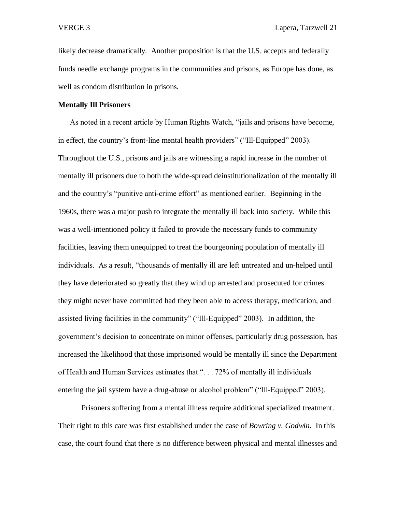likely decrease dramatically. Another proposition is that the U.S. accepts and federally funds needle exchange programs in the communities and prisons, as Europe has done, as well as condom distribution in prisons.

## **Mentally Ill Prisoners**

As noted in a recent article by Human Rights Watch, "jails and prisons have become, in effect, the country's front-line mental health providers" ("Ill-Equipped" 2003). Throughout the U.S., prisons and jails are witnessing a rapid increase in the number of mentally ill prisoners due to both the wide-spread deinstitutionalization of the mentally ill and the country's "punitive anti-crime effort" as mentioned earlier. Beginning in the 1960s, there was a major push to integrate the mentally ill back into society. While this was a well-intentioned policy it failed to provide the necessary funds to community facilities, leaving them unequipped to treat the bourgeoning population of mentally ill individuals. As a result, "thousands of mentally ill are left untreated and un-helped until they have deteriorated so greatly that they wind up arrested and prosecuted for crimes they might never have committed had they been able to access therapy, medication, and assisted living facilities in the community" ("Ill-Equipped" 2003). In addition, the government's decision to concentrate on minor offenses, particularly drug possession, has increased the likelihood that those imprisoned would be mentally ill since the Department of Health and Human Services estimates that ". . . 72% of mentally ill individuals entering the jail system have a drug-abuse or alcohol problem" ("Ill-Equipped" 2003).

Prisoners suffering from a mental illness require additional specialized treatment. Their right to this care was first established under the case of *Bowring v. Godwin.* In this case, the court found that there is no difference between physical and mental illnesses and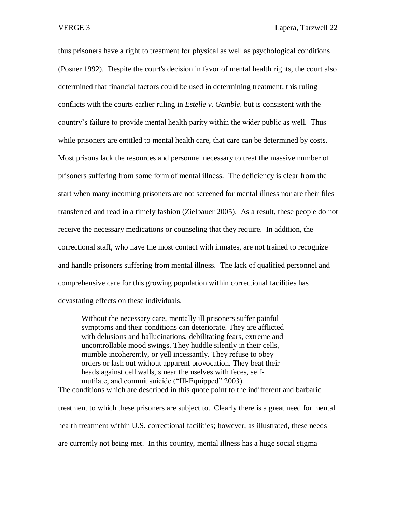thus prisoners have a right to treatment for physical as well as psychological conditions (Posner 1992). Despite the court's decision in favor of mental health rights, the court also determined that financial factors could be used in determining treatment; this ruling conflicts with the courts earlier ruling in *Estelle v. Gamble,* but is consistent with the country's failure to provide mental health parity within the wider public as well. Thus while prisoners are entitled to mental health care, that care can be determined by costs. Most prisons lack the resources and personnel necessary to treat the massive number of prisoners suffering from some form of mental illness. The deficiency is clear from the start when many incoming prisoners are not screened for mental illness nor are their files transferred and read in a timely fashion (Zielbauer 2005). As a result, these people do not receive the necessary medications or counseling that they require. In addition, the correctional staff, who have the most contact with inmates, are not trained to recognize and handle prisoners suffering from mental illness. The lack of qualified personnel and comprehensive care for this growing population within correctional facilities has devastating effects on these individuals.

Without the necessary care, mentally ill prisoners suffer painful symptoms and their conditions can deteriorate. They are afflicted with delusions and hallucinations, debilitating fears, extreme and uncontrollable mood swings. They huddle silently in their cells, mumble incoherently, or yell incessantly. They refuse to obey orders or lash out without apparent provocation. They beat their heads against cell walls, smear themselves with feces, selfmutilate, and commit suicide ("Ill-Equipped" 2003).

The conditions which are described in this quote point to the indifferent and barbaric treatment to which these prisoners are subject to. Clearly there is a great need for mental health treatment within U.S. correctional facilities; however, as illustrated, these needs are currently not being met. In this country, mental illness has a huge social stigma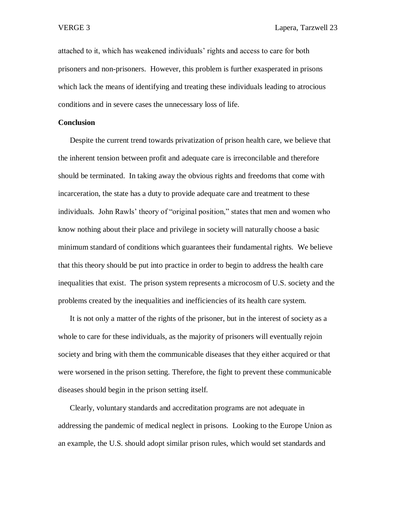attached to it, which has weakened individuals' rights and access to care for both prisoners and non-prisoners. However, this problem is further exasperated in prisons which lack the means of identifying and treating these individuals leading to atrocious conditions and in severe cases the unnecessary loss of life.

## **Conclusion**

Despite the current trend towards privatization of prison health care, we believe that the inherent tension between profit and adequate care is irreconcilable and therefore should be terminated. In taking away the obvious rights and freedoms that come with incarceration, the state has a duty to provide adequate care and treatment to these individuals. John Rawls' theory of "original position," states that men and women who know nothing about their place and privilege in society will naturally choose a basic minimum standard of conditions which guarantees their fundamental rights. We believe that this theory should be put into practice in order to begin to address the health care inequalities that exist. The prison system represents a microcosm of U.S. society and the problems created by the inequalities and inefficiencies of its health care system.

It is not only a matter of the rights of the prisoner, but in the interest of society as a whole to care for these individuals, as the majority of prisoners will eventually rejoin society and bring with them the communicable diseases that they either acquired or that were worsened in the prison setting. Therefore, the fight to prevent these communicable diseases should begin in the prison setting itself.

Clearly, voluntary standards and accreditation programs are not adequate in addressing the pandemic of medical neglect in prisons. Looking to the Europe Union as an example, the U.S. should adopt similar prison rules, which would set standards and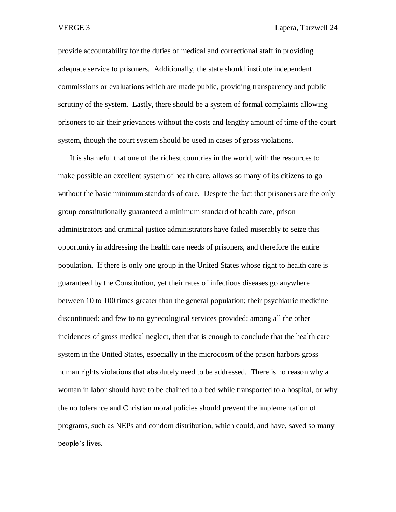provide accountability for the duties of medical and correctional staff in providing adequate service to prisoners. Additionally, the state should institute independent commissions or evaluations which are made public, providing transparency and public scrutiny of the system. Lastly, there should be a system of formal complaints allowing prisoners to air their grievances without the costs and lengthy amount of time of the court system, though the court system should be used in cases of gross violations.

It is shameful that one of the richest countries in the world, with the resources to make possible an excellent system of health care, allows so many of its citizens to go without the basic minimum standards of care. Despite the fact that prisoners are the only group constitutionally guaranteed a minimum standard of health care, prison administrators and criminal justice administrators have failed miserably to seize this opportunity in addressing the health care needs of prisoners, and therefore the entire population. If there is only one group in the United States whose right to health care is guaranteed by the Constitution, yet their rates of infectious diseases go anywhere between 10 to 100 times greater than the general population; their psychiatric medicine discontinued; and few to no gynecological services provided; among all the other incidences of gross medical neglect, then that is enough to conclude that the health care system in the United States, especially in the microcosm of the prison harbors gross human rights violations that absolutely need to be addressed. There is no reason why a woman in labor should have to be chained to a bed while transported to a hospital, or why the no tolerance and Christian moral policies should prevent the implementation of programs, such as NEPs and condom distribution, which could, and have, saved so many people's lives.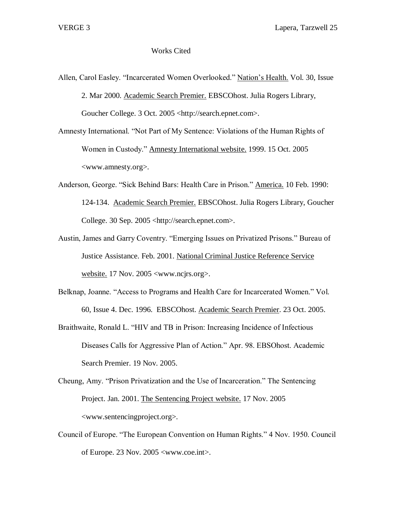# Works Cited

Allen, Carol Easley. "Incarcerated Women Overlooked." Nation's Health. Vol. 30, Issue 2. Mar 2000. Academic Search Premier. EBSCOhost. Julia Rogers Library, Goucher College. 3 Oct. 2005 <http://search.epnet.com>.

Amnesty International. "Not Part of My Sentence: Violations of the Human Rights of Women in Custody." Amnesty International website. 1999. 15 Oct. 2005 <www.amnesty.org>.

- Anderson, George. "Sick Behind Bars: Health Care in Prison." America. 10 Feb. 1990: 124-134. Academic Search Premier. EBSCOhost. Julia Rogers Library, Goucher College. 30 Sep. 2005 <http://search.epnet.com>.
- Austin, James and Garry Coventry. "Emerging Issues on Privatized Prisons." Bureau of Justice Assistance. Feb. 2001. National Criminal Justice Reference Service website. 17 Nov. 2005 <www.ncjrs.org>.
- Belknap, Joanne. "Access to Programs and Health Care for Incarcerated Women." Vol. 60, Issue 4. Dec. 1996. EBSCOhost. Academic Search Premier. 23 Oct. 2005.
- Braithwaite, Ronald L. "HIV and TB in Prison: Increasing Incidence of Infectious Diseases Calls for Aggressive Plan of Action." Apr. 98. EBSOhost. Academic Search Premier. 19 Nov. 2005.
- Cheung, Amy. "Prison Privatization and the Use of Incarceration." The Sentencing Project. Jan. 2001. The Sentencing Project website. 17 Nov. 2005 <www.sentencingproject.org>.
- Council of Europe. "The European Convention on Human Rights." 4 Nov. 1950. Council of Europe. 23 Nov. 2005 <www.coe.int>.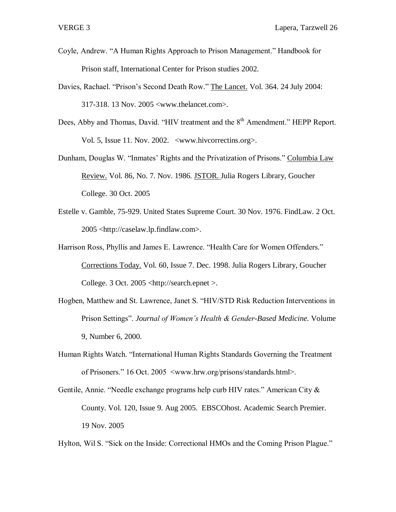- Coyle, Andrew. "A Human Rights Approach to Prison Management." Handbook for Prison staff, International Center for Prison studies 2002.
- Davies, Rachael. "Prison's Second Death Row." The Lancet. Vol. 364. 24 July 2004: 317-318. 13 Nov. 2005 <www.thelancet.com>.
- Dees, Abby and Thomas, David. "HIV treatment and the 8<sup>th</sup> Amendment." HEPP Report. Vol. 5, Issue 11. Nov. 2002. <www.hivcorrectins.org>.
- Dunham, Douglas W. "Inmates' Rights and the Privatization of Prisons." Columbia Law Review. Vol. 86, No. 7. Nov. 1986. JSTOR. Julia Rogers Library, Goucher College. 30 Oct. 2005
- Estelle v. Gamble, 75-929. United States Supreme Court. 30 Nov. 1976. FindLaw. 2 Oct. 2005 <http://caselaw.lp.findlaw.com>.
- Harrison Ross, Phyllis and James E. Lawrence. "Health Care for Women Offenders." Corrections Today. Vol. 60, Issue 7. Dec. 1998. Julia Rogers Library, Goucher College. 3 Oct. 2005 <http://search.epnet >.
- Hogben, Matthew and St. Lawrence, Janet S. "HIV/STD Risk Reduction Interventions in Prison Settings". *Journal of Women's Health & Gender-Based Medicine.* Volume 9, Number 6, 2000.
- Human Rights Watch. "International Human Rights Standards Governing the Treatment of Prisoners." 16 Oct. 2005 <www.hrw.org/prisons/standards.html>.
- Gentile, Annie. "Needle exchange programs help curb HIV rates." American City & County. Vol. 120, Issue 9. Aug 2005. EBSCOhost. Academic Search Premier. 19 Nov. 2005

Hylton, Wil S. "Sick on the Inside: Correctional HMOs and the Coming Prison Plague."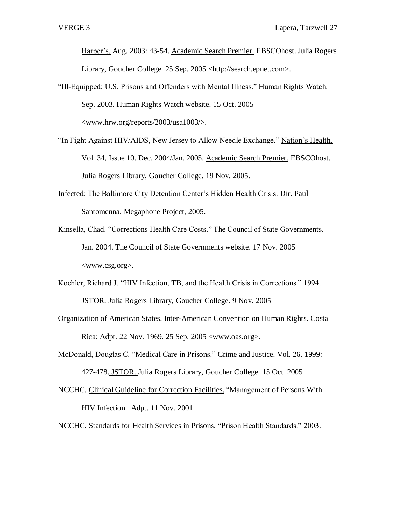Harper's. Aug. 2003: 43-54. Academic Search Premier. EBSCOhost. Julia Rogers Library, Goucher College. 25 Sep. 2005 <http://search.epnet.com>.

- "Ill-Equipped: U.S. Prisons and Offenders with Mental Illness." Human Rights Watch. Sep. 2003. Human Rights Watch website. 15 Oct. 2005 <www.hrw.org/reports/2003/usa1003/>.
- "In Fight Against HIV/AIDS, New Jersey to Allow Needle Exchange." Nation's Health. Vol. 34, Issue 10. Dec. 2004/Jan. 2005. Academic Search Premier. EBSCOhost. Julia Rogers Library, Goucher College. 19 Nov. 2005.
- Infected: The Baltimore City Detention Center's Hidden Health Crisis. Dir. Paul Santomenna. Megaphone Project, 2005.
- Kinsella, Chad. "Corrections Health Care Costs." The Council of State Governments. Jan. 2004. The Council of State Governments website. 17 Nov. 2005 <www.csg.org>.
- Koehler, Richard J. "HIV Infection, TB, and the Health Crisis in Corrections." 1994. JSTOR. Julia Rogers Library, Goucher College. 9 Nov. 2005
- Organization of American States. Inter-American Convention on Human Rights. Costa Rica: Adpt. 22 Nov. 1969. 25 Sep. 2005 <www.oas.org>.
- McDonald, Douglas C. "Medical Care in Prisons." Crime and Justice. Vol. 26. 1999: 427-478. JSTOR. Julia Rogers Library, Goucher College. 15 Oct. 2005
- NCCHC. Clinical Guideline for Correction Facilities. "Management of Persons With HIV Infection. Adpt. 11 Nov. 2001
- NCCHC. Standards for Health Services in Prisons. "Prison Health Standards." 2003.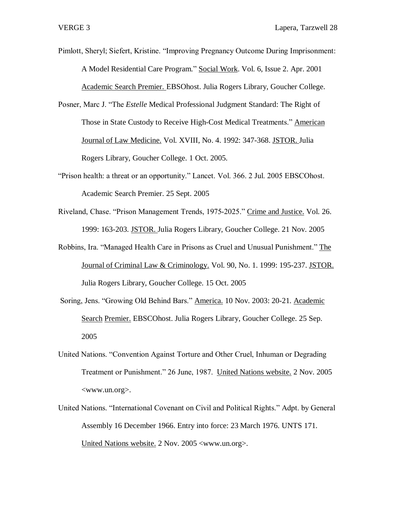Pimlott, Sheryl; Siefert, Kristine. "Improving Pregnancy Outcome During Imprisonment: A Model Residential Care Program." Social Work. Vol. 6, Issue 2. Apr. 2001 Academic Search Premier. EBSOhost. Julia Rogers Library, Goucher College.

- Posner, Marc J. "The *Estelle* Medical Professional Judgment Standard: The Right of Those in State Custody to Receive High-Cost Medical Treatments." American Journal of Law Medicine. Vol. XVIII, No. 4. 1992: 347-368. JSTOR. Julia Rogers Library, Goucher College. 1 Oct. 2005.
- "Prison health: a threat or an opportunity." Lancet. Vol. 366. 2 Jul. 2005 EBSCOhost. Academic Search Premier. 25 Sept. 2005
- Riveland, Chase. "Prison Management Trends, 1975-2025." Crime and Justice. Vol. 26. 1999: 163-203. JSTOR. Julia Rogers Library, Goucher College. 21 Nov. 2005
- Robbins, Ira. "Managed Health Care in Prisons as Cruel and Unusual Punishment." The Journal of Criminal Law & Criminology. Vol. 90, No. 1. 1999: 195-237. JSTOR. Julia Rogers Library, Goucher College. 15 Oct. 2005
- Soring, Jens. "Growing Old Behind Bars." America. 10 Nov. 2003: 20-21. Academic Search Premier. EBSCOhost. Julia Rogers Library, Goucher College. 25 Sep. 2005
- United Nations. "Convention Against Torture and Other Cruel, Inhuman or Degrading Treatment or Punishment." 26 June, 1987. United Nations website. 2 Nov. 2005 <www.un.org>.
- United Nations. "International Covenant on Civil and Political Rights." Adpt. by General Assembly 16 December 1966. Entry into force: 23 March 1976. UNTS 171. United Nations website. 2 Nov. 2005 <www.un.org>.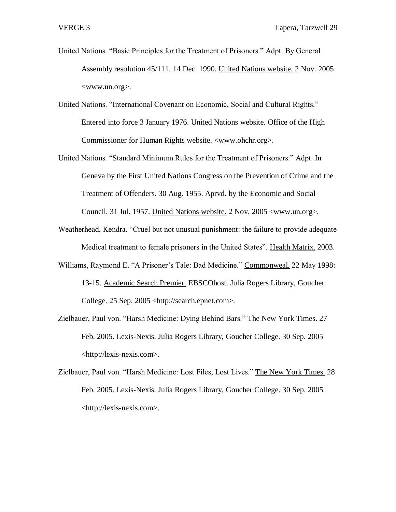- United Nations. "Basic Principles for the Treatment of Prisoners." Adpt. By General Assembly resolution 45/111. 14 Dec. 1990. United Nations website. 2 Nov. 2005 <www.un.org>.
- United Nations. "International Covenant on Economic, Social and Cultural Rights." Entered into force 3 January 1976. United Nations website. Office of the High Commissioner for Human Rights website. <www.ohchr.org>.
- United Nations. "Standard Minimum Rules for the Treatment of Prisoners." Adpt. In Geneva by the First United Nations Congress on the Prevention of Crime and the Treatment of Offenders. 30 Aug. 1955. Aprvd. by the Economic and Social Council. 31 Jul. 1957. United Nations website. 2 Nov. 2005 <www.un.org>.
- Weatherhead, Kendra. "Cruel but not unusual punishment: the failure to provide adequate Medical treatment to female prisoners in the United States". Health Matrix. 2003.
- Williams, Raymond E. "A Prisoner's Tale: Bad Medicine." Commonweal. 22 May 1998: 13-15. Academic Search Premier. EBSCOhost. Julia Rogers Library, Goucher College. 25 Sep. 2005 <http://search.epnet.com>.
- Zielbauer, Paul von. "Harsh Medicine: Dying Behind Bars." The New York Times. 27 Feb. 2005. Lexis-Nexis. Julia Rogers Library, Goucher College. 30 Sep. 2005 <http://lexis-nexis.com>.
- Zielbauer, Paul von. "Harsh Medicine: Lost Files, Lost Lives." The New York Times. 28 Feb. 2005. Lexis-Nexis. Julia Rogers Library, Goucher College. 30 Sep. 2005 <http://lexis-nexis.com>.